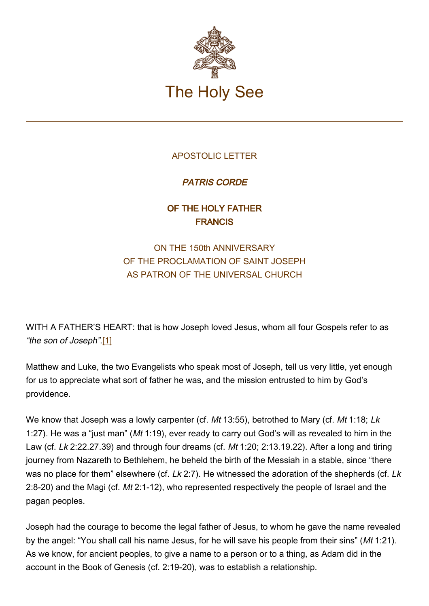

## APOSTOLIC LETTER

# PATRIS CORDE

# OF THE HOLY FATHER FRANCIS

ON THE 150th ANNIVERSARY OF THE PROCLAMATION OF SAINT JOSEPH AS PATRON OF THE UNIVERSAL CHURCH

WITH A FATHER'S HEART: that is how Joseph loved Jesus, whom all four Gospels refer to as "the son of Joseph".[1]

Matthew and Luke, the two Evangelists who speak most of Joseph, tell us very little, yet enough for us to appreciate what sort of father he was, and the mission entrusted to him by God's providence.

We know that Joseph was a lowly carpenter (cf. Mt 13:55), betrothed to Mary (cf. Mt 1:18; Lk 1:27). He was a "just man" (Mt 1:19), ever ready to carry out God's will as revealed to him in the Law (cf. Lk 2:22.27.39) and through four dreams (cf. Mt 1:20; 2:13.19.22). After a long and tiring journey from Nazareth to Bethlehem, he beheld the birth of the Messiah in a stable, since "there was no place for them" elsewhere (cf. Lk 2:7). He witnessed the adoration of the shepherds (cf. Lk 2:8-20) and the Magi (cf. Mt 2:1-12), who represented respectively the people of Israel and the pagan peoples.

Joseph had the courage to become the legal father of Jesus, to whom he gave the name revealed by the angel: "You shall call his name Jesus, for he will save his people from their sins" (Mt 1:21). As we know, for ancient peoples, to give a name to a person or to a thing, as Adam did in the account in the Book of Genesis (cf. 2:19-20), was to establish a relationship.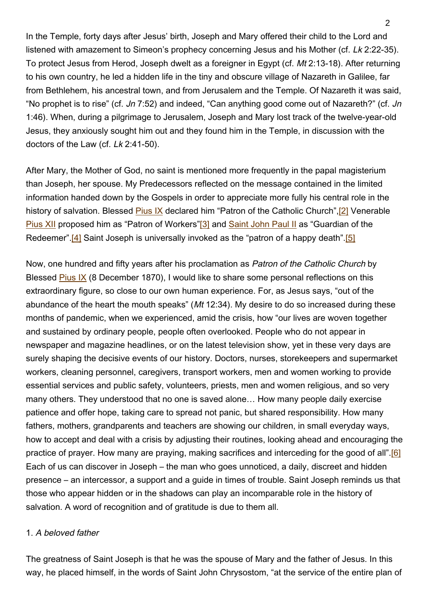In the Temple, forty days after Jesus' birth, Joseph and Mary offered their child to the Lord and listened with amazement to Simeon's prophecy concerning Jesus and his Mother (cf. Lk 2:22-35). To protect Jesus from Herod, Joseph dwelt as a foreigner in Egypt (cf. Mt 2:13-18). After returning to his own country, he led a hidden life in the tiny and obscure village of Nazareth in Galilee, far from Bethlehem, his ancestral town, and from Jerusalem and the Temple. Of Nazareth it was said, "No prophet is to rise" (cf. Jn 7:52) and indeed, "Can anything good come out of Nazareth?" (cf. Jn 1:46). When, during a pilgrimage to Jerusalem, Joseph and Mary lost track of the twelve-year-old Jesus, they anxiously sought him out and they found him in the Temple, in discussion with the doctors of the Law (cf. Lk 2:41-50).

After Mary, the Mother of God, no saint is mentioned more frequently in the papal magisterium than Joseph, her spouse. My Predecessors reflected on the message contained in the limited information handed down by the Gospels in order to appreciate more fully his central role in the history of salvation. Blessed [Pius IX](http://www.vatican.va/content/pius-ix/en.html) declared him "Patron of the Catholic Church",[2] Venerable [Pius XII](http://www.vatican.va/content/pius-xii/en.html) proposed him as "Patron of Workers"[3] and [Saint John Paul II](http://www.vatican.va/content/john-paul-ii/en.html) as "Guardian of the Redeemer".<sup>[4]</sup> Saint Joseph is universally invoked as the "patron of a happy death".<sup>[5]</sup>

Now, one hundred and fifty years after his proclamation as Patron of the Catholic Church by Blessed [Pius IX](http://www.vatican.va/content/pius-ix/en.html) (8 December 1870), I would like to share some personal reflections on this extraordinary figure, so close to our own human experience. For, as Jesus says, "out of the abundance of the heart the mouth speaks"  $(Mt 12:34)$ . My desire to do so increased during these months of pandemic, when we experienced, amid the crisis, how "our lives are woven together and sustained by ordinary people, people often overlooked. People who do not appear in newspaper and magazine headlines, or on the latest television show, yet in these very days are surely shaping the decisive events of our history. Doctors, nurses, storekeepers and supermarket workers, cleaning personnel, caregivers, transport workers, men and women working to provide essential services and public safety, volunteers, priests, men and women religious, and so very many others. They understood that no one is saved alone… How many people daily exercise patience and offer hope, taking care to spread not panic, but shared responsibility. How many fathers, mothers, grandparents and teachers are showing our children, in small everyday ways, how to accept and deal with a crisis by adjusting their routines, looking ahead and encouraging the practice of prayer. How many are praying, making sacrifices and interceding for the good of all".<sup>[6]</sup> Each of us can discover in Joseph – the man who goes unnoticed, a daily, discreet and hidden presence – an intercessor, a support and a guide in times of trouble. Saint Joseph reminds us that those who appear hidden or in the shadows can play an incomparable role in the history of salvation. A word of recognition and of gratitude is due to them all.

### 1. A beloved father

The greatness of Saint Joseph is that he was the spouse of Mary and the father of Jesus. In this way, he placed himself, in the words of Saint John Chrysostom, "at the service of the entire plan of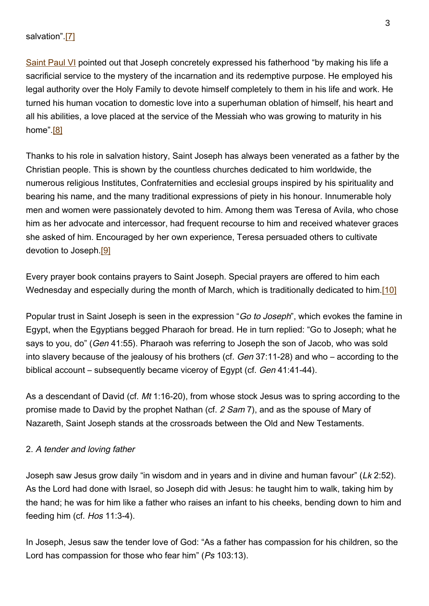#### salvation" [7]

[Saint Paul VI](http://www.vatican.va/content/paul-vi/en.html) pointed out that Joseph concretely expressed his fatherhood "by making his life a sacrificial service to the mystery of the incarnation and its redemptive purpose. He employed his legal authority over the Holy Family to devote himself completely to them in his life and work. He turned his human vocation to domestic love into a superhuman oblation of himself, his heart and all his abilities, a love placed at the service of the Messiah who was growing to maturity in his home".[8]

Thanks to his role in salvation history, Saint Joseph has always been venerated as a father by the Christian people. This is shown by the countless churches dedicated to him worldwide, the numerous religious Institutes, Confraternities and ecclesial groups inspired by his spirituality and bearing his name, and the many traditional expressions of piety in his honour. Innumerable holy men and women were passionately devoted to him. Among them was Teresa of Avila, who chose him as her advocate and intercessor, had frequent recourse to him and received whatever graces she asked of him. Encouraged by her own experience, Teresa persuaded others to cultivate devotion to Joseph.[9]

Every prayer book contains prayers to Saint Joseph. Special prayers are offered to him each Wednesday and especially during the month of March, which is traditionally dedicated to him.[10]

Popular trust in Saint Joseph is seen in the expression "Go to Joseph", which evokes the famine in Egypt, when the Egyptians begged Pharaoh for bread. He in turn replied: "Go to Joseph; what he says to you, do" (Gen 41:55). Pharaoh was referring to Joseph the son of Jacob, who was sold into slavery because of the jealousy of his brothers (cf. Gen 37:11-28) and who – according to the biblical account – subsequently became viceroy of Egypt (cf. Gen 41:41-44).

As a descendant of David (cf. Mt 1:16-20), from whose stock Jesus was to spring according to the promise made to David by the prophet Nathan (cf. 2 Sam 7), and as the spouse of Mary of Nazareth, Saint Joseph stands at the crossroads between the Old and New Testaments.

#### 2. A tender and loving father

Joseph saw Jesus grow daily "in wisdom and in years and in divine and human favour" (Lk 2:52). As the Lord had done with Israel, so Joseph did with Jesus: he taught him to walk, taking him by the hand; he was for him like a father who raises an infant to his cheeks, bending down to him and feeding him (cf. Hos 11:3-4).

In Joseph, Jesus saw the tender love of God: "As a father has compassion for his children, so the Lord has compassion for those who fear him" (Ps 103:13).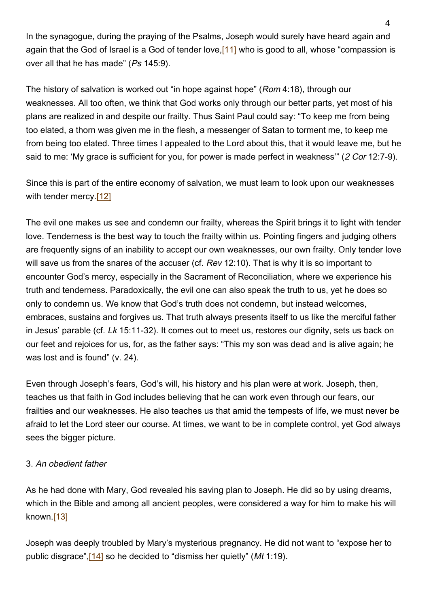In the synagogue, during the praying of the Psalms, Joseph would surely have heard again and again that the God of Israel is a God of tender love, [11] who is good to all, whose "compassion is over all that he has made" (Ps 145:9).

The history of salvation is worked out "in hope against hope" (Rom 4:18), through our weaknesses. All too often, we think that God works only through our better parts, yet most of his plans are realized in and despite our frailty. Thus Saint Paul could say: "To keep me from being too elated, a thorn was given me in the flesh, a messenger of Satan to torment me, to keep me from being too elated. Three times I appealed to the Lord about this, that it would leave me, but he said to me: 'My grace is sufficient for you, for power is made perfect in weakness" (2 Cor 12:7-9).

Since this is part of the entire economy of salvation, we must learn to look upon our weaknesses with tender mercy.[12]

The evil one makes us see and condemn our frailty, whereas the Spirit brings it to light with tender love. Tenderness is the best way to touch the frailty within us. Pointing fingers and judging others are frequently signs of an inability to accept our own weaknesses, our own frailty. Only tender love will save us from the snares of the accuser (cf. Rev 12:10). That is why it is so important to encounter God's mercy, especially in the Sacrament of Reconciliation, where we experience his truth and tenderness. Paradoxically, the evil one can also speak the truth to us, yet he does so only to condemn us. We know that God's truth does not condemn, but instead welcomes, embraces, sustains and forgives us. That truth always presents itself to us like the merciful father in Jesus' parable (cf. Lk 15:11-32). It comes out to meet us, restores our dignity, sets us back on our feet and rejoices for us, for, as the father says: "This my son was dead and is alive again; he was lost and is found" (v. 24).

Even through Joseph's fears, God's will, his history and his plan were at work. Joseph, then, teaches us that faith in God includes believing that he can work even through our fears, our frailties and our weaknesses. He also teaches us that amid the tempests of life, we must never be afraid to let the Lord steer our course. At times, we want to be in complete control, yet God always sees the bigger picture.

## 3. An obedient father

As he had done with Mary, God revealed his saving plan to Joseph. He did so by using dreams, which in the Bible and among all ancient peoples, were considered a way for him to make his will known.[13]

Joseph was deeply troubled by Mary's mysterious pregnancy. He did not want to "expose her to public disgrace", [14] so he decided to "dismiss her quietly" (Mt 1:19).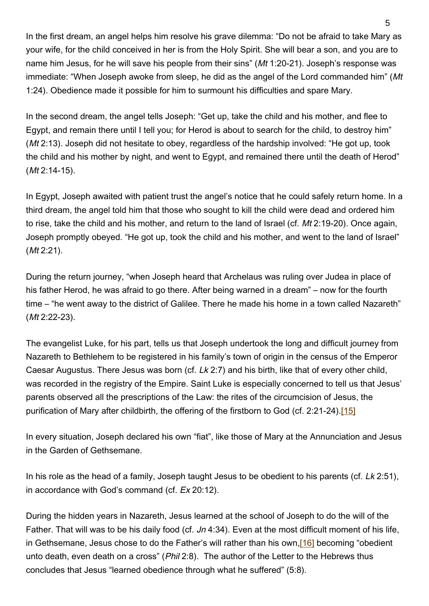In the first dream, an angel helps him resolve his grave dilemma: "Do not be afraid to take Mary as your wife, for the child conceived in her is from the Holy Spirit. She will bear a son, and you are to name him Jesus, for he will save his people from their sins" (Mt 1:20-21). Joseph's response was immediate: "When Joseph awoke from sleep, he did as the angel of the Lord commanded him" (Mt 1:24). Obedience made it possible for him to surmount his difficulties and spare Mary.

In the second dream, the angel tells Joseph: "Get up, take the child and his mother, and flee to Egypt, and remain there until I tell you; for Herod is about to search for the child, to destroy him" (Mt 2:13). Joseph did not hesitate to obey, regardless of the hardship involved: "He got up, took the child and his mother by night, and went to Egypt, and remained there until the death of Herod" (Mt 2:14-15).

In Egypt, Joseph awaited with patient trust the angel's notice that he could safely return home. In a third dream, the angel told him that those who sought to kill the child were dead and ordered him to rise, take the child and his mother, and return to the land of Israel (cf. Mt 2:19-20). Once again, Joseph promptly obeyed. "He got up, took the child and his mother, and went to the land of Israel"  $(Mt 2:21)$ .

During the return journey, "when Joseph heard that Archelaus was ruling over Judea in place of his father Herod, he was afraid to go there. After being warned in a dream" – now for the fourth time – "he went away to the district of Galilee. There he made his home in a town called Nazareth" (Mt 2:22-23).

The evangelist Luke, for his part, tells us that Joseph undertook the long and difficult journey from Nazareth to Bethlehem to be registered in his family's town of origin in the census of the Emperor Caesar Augustus. There Jesus was born (cf. Lk 2:7) and his birth, like that of every other child, was recorded in the registry of the Empire. Saint Luke is especially concerned to tell us that Jesus' parents observed all the prescriptions of the Law: the rites of the circumcision of Jesus, the purification of Mary after childbirth, the offering of the firstborn to God (cf. 2:21-24). [15]

In every situation, Joseph declared his own "fiat", like those of Mary at the Annunciation and Jesus in the Garden of Gethsemane.

In his role as the head of a family, Joseph taught Jesus to be obedient to his parents (cf. Lk 2:51). in accordance with God's command (cf. Ex 20:12).

During the hidden years in Nazareth, Jesus learned at the school of Joseph to do the will of the Father. That will was to be his daily food (cf.  $Jn$  4:34). Even at the most difficult moment of his life, in Gethsemane, Jesus chose to do the Father's will rather than his own,[16] becoming "obedient unto death, even death on a cross" (Phil 2:8). The author of the Letter to the Hebrews thus concludes that Jesus "learned obedience through what he suffered" (5:8).

5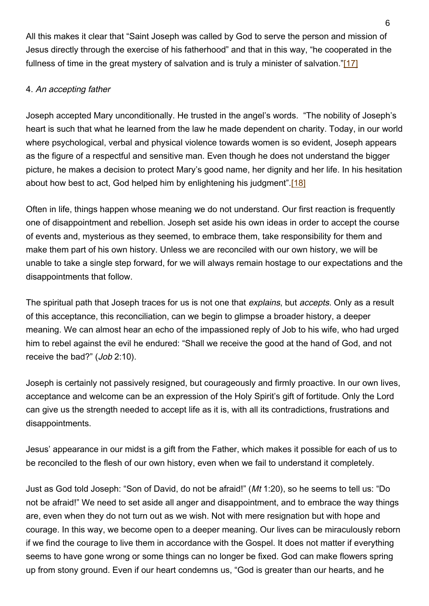All this makes it clear that "Saint Joseph was called by God to serve the person and mission of Jesus directly through the exercise of his fatherhood" and that in this way, "he cooperated in the fullness of time in the great mystery of salvation and is truly a minister of salvation."[17]

## 4. An accepting father

Joseph accepted Mary unconditionally. He trusted in the angel's words. "The nobility of Joseph's heart is such that what he learned from the law he made dependent on charity. Today, in our world where psychological, verbal and physical violence towards women is so evident, Joseph appears as the figure of a respectful and sensitive man. Even though he does not understand the bigger picture, he makes a decision to protect Mary's good name, her dignity and her life. In his hesitation about how best to act, God helped him by enlightening his judgment".[18]

Often in life, things happen whose meaning we do not understand. Our first reaction is frequently one of disappointment and rebellion. Joseph set aside his own ideas in order to accept the course of events and, mysterious as they seemed, to embrace them, take responsibility for them and make them part of his own history. Unless we are reconciled with our own history, we will be unable to take a single step forward, for we will always remain hostage to our expectations and the disappointments that follow.

The spiritual path that Joseph traces for us is not one that explains, but accepts. Only as a result of this acceptance, this reconciliation, can we begin to glimpse a broader history, a deeper meaning. We can almost hear an echo of the impassioned reply of Job to his wife, who had urged him to rebel against the evil he endured: "Shall we receive the good at the hand of God, and not receive the bad?" (Job 2:10).

Joseph is certainly not passively resigned, but courageously and firmly proactive. In our own lives, acceptance and welcome can be an expression of the Holy Spirit's gift of fortitude. Only the Lord can give us the strength needed to accept life as it is, with all its contradictions, frustrations and disappointments.

Jesus' appearance in our midst is a gift from the Father, which makes it possible for each of us to be reconciled to the flesh of our own history, even when we fail to understand it completely.

Just as God told Joseph: "Son of David, do not be afraid!" (Mt 1:20), so he seems to tell us: "Do not be afraid!" We need to set aside all anger and disappointment, and to embrace the way things are, even when they do not turn out as we wish. Not with mere resignation but with hope and courage. In this way, we become open to a deeper meaning. Our lives can be miraculously reborn if we find the courage to live them in accordance with the Gospel. It does not matter if everything seems to have gone wrong or some things can no longer be fixed. God can make flowers spring up from stony ground. Even if our heart condemns us, "God is greater than our hearts, and he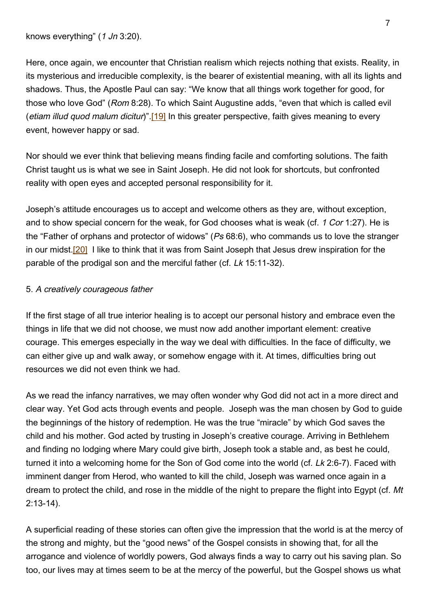knows everything" (1 Jn 3:20).

Here, once again, we encounter that Christian realism which rejects nothing that exists. Reality, in its mysterious and irreducible complexity, is the bearer of existential meaning, with all its lights and shadows. Thus, the Apostle Paul can say: "We know that all things work together for good, for those who love God" (Rom 8:28). To which Saint Augustine adds, "even that which is called evil (etiam illud quod malum dicitur)".[19] In this greater perspective, faith gives meaning to every event, however happy or sad.

Nor should we ever think that believing means finding facile and comforting solutions. The faith Christ taught us is what we see in Saint Joseph. He did not look for shortcuts, but confronted reality with open eyes and accepted personal responsibility for it.

Joseph's attitude encourages us to accept and welcome others as they are, without exception, and to show special concern for the weak, for God chooses what is weak (cf. 1 Cor 1:27). He is the "Father of orphans and protector of widows" (Ps 68:6), who commands us to love the stranger in our midst.[20] I like to think that it was from Saint Joseph that Jesus drew inspiration for the parable of the prodigal son and the merciful father (cf. Lk 15:11-32).

### 5. A creatively courageous father

If the first stage of all true interior healing is to accept our personal history and embrace even the things in life that we did not choose, we must now add another important element: creative courage. This emerges especially in the way we deal with difficulties. In the face of difficulty, we can either give up and walk away, or somehow engage with it. At times, difficulties bring out resources we did not even think we had.

As we read the infancy narratives, we may often wonder why God did not act in a more direct and clear way. Yet God acts through events and people. Joseph was the man chosen by God to guide the beginnings of the history of redemption. He was the true "miracle" by which God saves the child and his mother. God acted by trusting in Joseph's creative courage. Arriving in Bethlehem and finding no lodging where Mary could give birth, Joseph took a stable and, as best he could, turned it into a welcoming home for the Son of God come into the world (cf. Lk 2:6-7). Faced with imminent danger from Herod, who wanted to kill the child, Joseph was warned once again in a dream to protect the child, and rose in the middle of the night to prepare the flight into Egypt (cf. Mt  $2:13-14$ ).

A superficial reading of these stories can often give the impression that the world is at the mercy of the strong and mighty, but the "good news" of the Gospel consists in showing that, for all the arrogance and violence of worldly powers, God always finds a way to carry out his saving plan. So too, our lives may at times seem to be at the mercy of the powerful, but the Gospel shows us what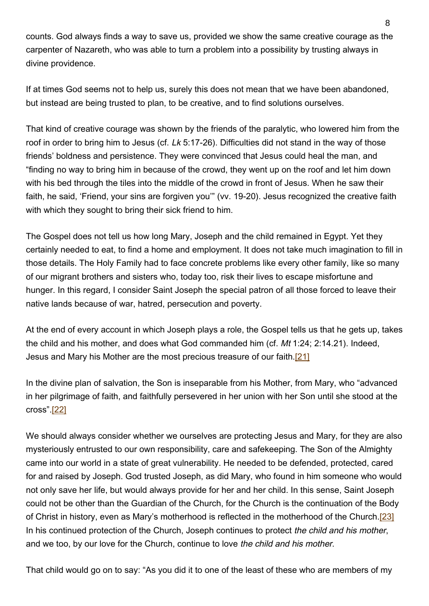counts. God always finds a way to save us, provided we show the same creative courage as the carpenter of Nazareth, who was able to turn a problem into a possibility by trusting always in divine providence.

If at times God seems not to help us, surely this does not mean that we have been abandoned, but instead are being trusted to plan, to be creative, and to find solutions ourselves.

That kind of creative courage was shown by the friends of the paralytic, who lowered him from the roof in order to bring him to Jesus (cf. Lk 5:17-26). Difficulties did not stand in the way of those friends' boldness and persistence. They were convinced that Jesus could heal the man, and "finding no way to bring him in because of the crowd, they went up on the roof and let him down with his bed through the tiles into the middle of the crowd in front of Jesus. When he saw their faith, he said, 'Friend, your sins are forgiven you'" (vv. 19-20). Jesus recognized the creative faith with which they sought to bring their sick friend to him.

The Gospel does not tell us how long Mary, Joseph and the child remained in Egypt. Yet they certainly needed to eat, to find a home and employment. It does not take much imagination to fill in those details. The Holy Family had to face concrete problems like every other family, like so many of our migrant brothers and sisters who, today too, risk their lives to escape misfortune and hunger. In this regard, I consider Saint Joseph the special patron of all those forced to leave their native lands because of war, hatred, persecution and poverty.

At the end of every account in which Joseph plays a role, the Gospel tells us that he gets up, takes the child and his mother, and does what God commanded him (cf. Mt 1:24; 2:14.21). Indeed, Jesus and Mary his Mother are the most precious treasure of our faith.[21]

In the divine plan of salvation, the Son is inseparable from his Mother, from Mary, who "advanced in her pilgrimage of faith, and faithfully persevered in her union with her Son until she stood at the cross".[22]

We should always consider whether we ourselves are protecting Jesus and Mary, for they are also mysteriously entrusted to our own responsibility, care and safekeeping. The Son of the Almighty came into our world in a state of great vulnerability. He needed to be defended, protected, cared for and raised by Joseph. God trusted Joseph, as did Mary, who found in him someone who would not only save her life, but would always provide for her and her child. In this sense, Saint Joseph could not be other than the Guardian of the Church, for the Church is the continuation of the Body of Christ in history, even as Mary's motherhood is reflected in the motherhood of the Church.[23] In his continued protection of the Church, Joseph continues to protect the child and his mother, and we too, by our love for the Church, continue to love the child and his mother.

That child would go on to say: "As you did it to one of the least of these who are members of my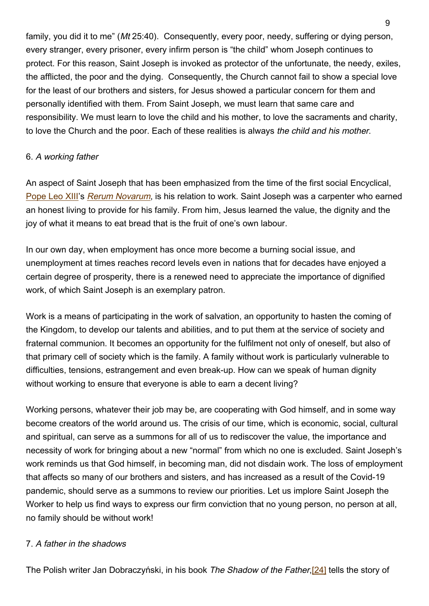family, you did it to me" (Mt 25:40). Consequently, every poor, needy, suffering or dying person, every stranger, every prisoner, every infirm person is "the child" whom Joseph continues to protect. For this reason, Saint Joseph is invoked as protector of the unfortunate, the needy, exiles, the afflicted, the poor and the dying. Consequently, the Church cannot fail to show a special love for the least of our brothers and sisters, for Jesus showed a particular concern for them and personally identified with them. From Saint Joseph, we must learn that same care and responsibility. We must learn to love the child and his mother, to love the sacraments and charity, to love the Church and the poor. Each of these realities is always the child and his mother.

## 6. A working father

An aspect of Saint Joseph that has been emphasized from the time of the first social Encyclical, [Pope Leo XIII'](http://www.vatican.va/content/leo-xiii/en.html)s [Rerum Novarum](http://www.vatican.va/content/leo-xiii/en/encyclicals/documents/hf_l-xiii_enc_15051891_rerum-novarum.html), is his relation to work. Saint Joseph was a carpenter who earned an honest living to provide for his family. From him, Jesus learned the value, the dignity and the joy of what it means to eat bread that is the fruit of one's own labour.

In our own day, when employment has once more become a burning social issue, and unemployment at times reaches record levels even in nations that for decades have enjoyed a certain degree of prosperity, there is a renewed need to appreciate the importance of dignified work, of which Saint Joseph is an exemplary patron.

Work is a means of participating in the work of salvation, an opportunity to hasten the coming of the Kingdom, to develop our talents and abilities, and to put them at the service of society and fraternal communion. It becomes an opportunity for the fulfilment not only of oneself, but also of that primary cell of society which is the family. A family without work is particularly vulnerable to difficulties, tensions, estrangement and even break-up. How can we speak of human dignity without working to ensure that everyone is able to earn a decent living?

Working persons, whatever their job may be, are cooperating with God himself, and in some way become creators of the world around us. The crisis of our time, which is economic, social, cultural and spiritual, can serve as a summons for all of us to rediscover the value, the importance and necessity of work for bringing about a new "normal" from which no one is excluded. Saint Joseph's work reminds us that God himself, in becoming man, did not disdain work. The loss of employment that affects so many of our brothers and sisters, and has increased as a result of the Covid-19 pandemic, should serve as a summons to review our priorities. Let us implore Saint Joseph the Worker to help us find ways to express our firm conviction that no young person, no person at all, no family should be without work!

## 7. A father in the shadows

The Polish writer Jan Dobraczyński, in his book The Shadow of the Father,<sup>[24]</sup> tells the story of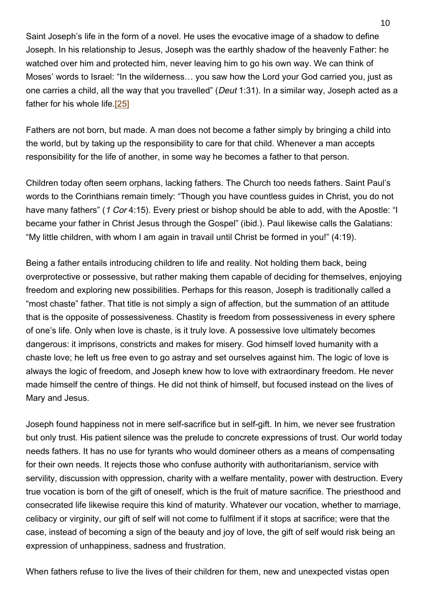Saint Joseph's life in the form of a novel. He uses the evocative image of a shadow to define Joseph. In his relationship to Jesus, Joseph was the earthly shadow of the heavenly Father: he watched over him and protected him, never leaving him to go his own way. We can think of Moses' words to Israel: "In the wilderness… you saw how the Lord your God carried you, just as one carries a child, all the way that you travelled" (Deut 1:31). In a similar way, Joseph acted as a father for his whole life.[25]

Fathers are not born, but made. A man does not become a father simply by bringing a child into the world, but by taking up the responsibility to care for that child. Whenever a man accepts responsibility for the life of another, in some way he becomes a father to that person.

Children today often seem orphans, lacking fathers. The Church too needs fathers. Saint Paul's words to the Corinthians remain timely: "Though you have countless guides in Christ, you do not have many fathers" (1 Cor 4:15). Every priest or bishop should be able to add, with the Apostle: "I became your father in Christ Jesus through the Gospel" (ibid.). Paul likewise calls the Galatians: "My little children, with whom I am again in travail until Christ be formed in you!" (4:19).

Being a father entails introducing children to life and reality. Not holding them back, being overprotective or possessive, but rather making them capable of deciding for themselves, enjoying freedom and exploring new possibilities. Perhaps for this reason, Joseph is traditionally called a "most chaste" father. That title is not simply a sign of affection, but the summation of an attitude that is the opposite of possessiveness. Chastity is freedom from possessiveness in every sphere of one's life. Only when love is chaste, is it truly love. A possessive love ultimately becomes dangerous: it imprisons, constricts and makes for misery. God himself loved humanity with a chaste love; he left us free even to go astray and set ourselves against him. The logic of love is always the logic of freedom, and Joseph knew how to love with extraordinary freedom. He never made himself the centre of things. He did not think of himself, but focused instead on the lives of Mary and Jesus.

Joseph found happiness not in mere self-sacrifice but in self-gift. In him, we never see frustration but only trust. His patient silence was the prelude to concrete expressions of trust. Our world today needs fathers. It has no use for tyrants who would domineer others as a means of compensating for their own needs. It rejects those who confuse authority with authoritarianism, service with servility, discussion with oppression, charity with a welfare mentality, power with destruction. Every true vocation is born of the gift of oneself, which is the fruit of mature sacrifice. The priesthood and consecrated life likewise require this kind of maturity. Whatever our vocation, whether to marriage, celibacy or virginity, our gift of self will not come to fulfilment if it stops at sacrifice; were that the case, instead of becoming a sign of the beauty and joy of love, the gift of self would risk being an expression of unhappiness, sadness and frustration.

When fathers refuse to live the lives of their children for them, new and unexpected vistas open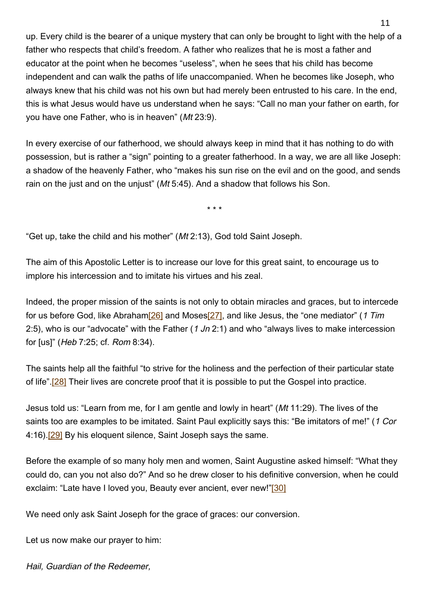up. Every child is the bearer of a unique mystery that can only be brought to light with the help of a father who respects that child's freedom. A father who realizes that he is most a father and educator at the point when he becomes "useless", when he sees that his child has become independent and can walk the paths of life unaccompanied. When he becomes like Joseph, who always knew that his child was not his own but had merely been entrusted to his care. In the end, this is what Jesus would have us understand when he says: "Call no man your father on earth, for you have one Father, who is in heaven" (Mt 23:9).

In every exercise of our fatherhood, we should always keep in mind that it has nothing to do with possession, but is rather a "sign" pointing to a greater fatherhood. In a way, we are all like Joseph: a shadow of the heavenly Father, who "makes his sun rise on the evil and on the good, and sends rain on the just and on the unjust" (Mt 5:45). And a shadow that follows his Son.

\* \* \*

"Get up, take the child and his mother" (Mt 2:13), God told Saint Joseph.

The aim of this Apostolic Letter is to increase our love for this great saint, to encourage us to implore his intercession and to imitate his virtues and his zeal.

Indeed, the proper mission of the saints is not only to obtain miracles and graces, but to intercede for us before God, like Abraham<sup>[26]</sup> and Moses<sup>[27]</sup>, and like Jesus, the "one mediator" (1 Tim 2:5), who is our "advocate" with the Father (1 Jn 2:1) and who "always lives to make intercession for [us]" (Heb 7:25; cf. Rom 8:34).

The saints help all the faithful "to strive for the holiness and the perfection of their particular state of life".[28] Their lives are concrete proof that it is possible to put the Gospel into practice.

Jesus told us: "Learn from me, for I am gentle and lowly in heart" (Mt 11:29). The lives of the saints too are examples to be imitated. Saint Paul explicitly says this: "Be imitators of me!" (1 Cor 4:16).<sup>[29]</sup> By his eloquent silence, Saint Joseph says the same.

Before the example of so many holy men and women, Saint Augustine asked himself: "What they could do, can you not also do?" And so he drew closer to his definitive conversion, when he could exclaim: "Late have I loved you, Beauty ever ancient, ever new!"[30]

We need only ask Saint Joseph for the grace of graces: our conversion.

Let us now make our prayer to him:

Hail, Guardian of the Redeemer,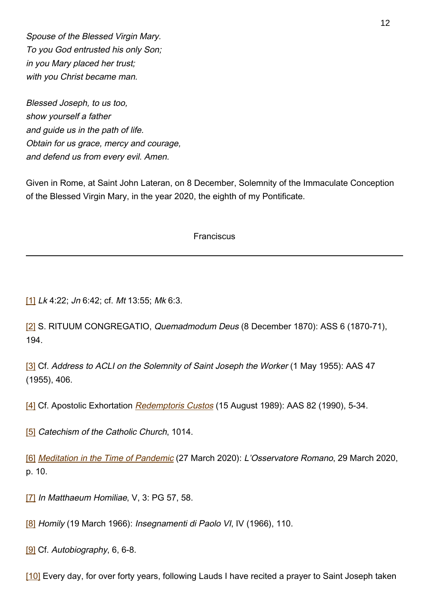Spouse of the Blessed Virgin Mary. To you God entrusted his only Son; in you Mary placed her trust; with you Christ became man.

Blessed Joseph, to us too, show yourself a father and guide us in the path of life. Obtain for us grace, mercy and courage, and defend us from every evil. Amen.

Given in Rome, at Saint John Lateran, on 8 December, Solemnity of the Immaculate Conception of the Blessed Virgin Mary, in the year 2020, the eighth of my Pontificate.

#### **Franciscus**

[1] Lk 4:22; Jn 6:42; cf. Mt 13:55; Mk 6:3.

[2] S. RITUUM CONGREGATIO, Quemadmodum Deus (8 December 1870): ASS 6 (1870-71), 194.

[3] Cf. Address to ACLI on the Solemnity of Saint Joseph the Worker (1 May 1955): AAS 47 (1955), 406.

[4] Cf. Apostolic Exhortation [Redemptoris Custos](http://www.vatican.va/content/john-paul-ii/en/apost_exhortations/documents/hf_jp-ii_exh_15081989_redemptoris-custos.html) (15 August 1989): AAS 82 (1990), 5-34.

[5] Catechism of the Catholic Church, 1014.

[6] [Meditation in the Time of Pandemic](http://www.vatican.va/content/francesco/en/homilies/2020/documents/papa-francesco_20200327_omelia-epidemia.html) (27 March 2020): L'Osservatore Romano, 29 March 2020, p. 10.

[7] In Matthaeum Homiliae, V, 3: PG 57, 58.

[8] Homily (19 March 1966): Insegnamenti di Paolo VI, IV (1966), 110.

[9] Cf. Autobiography, 6, 6-8.

[10] Every day, for over forty years, following Lauds I have recited a prayer to Saint Joseph taken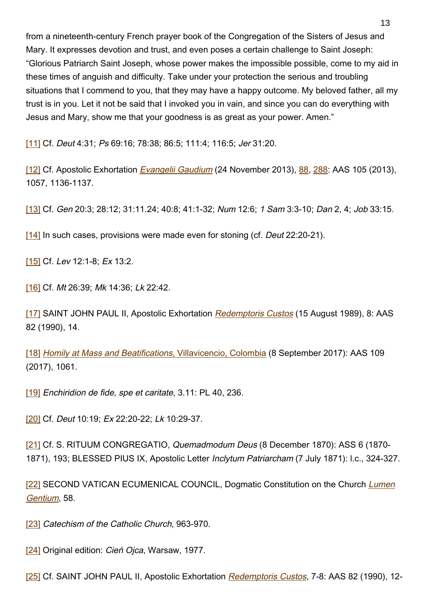from a nineteenth-century French prayer book of the Congregation of the Sisters of Jesus and Mary. It expresses devotion and trust, and even poses a certain challenge to Saint Joseph: "Glorious Patriarch Saint Joseph, whose power makes the impossible possible, come to my aid in these times of anguish and difficulty. Take under your protection the serious and troubling situations that I commend to you, that they may have a happy outcome. My beloved father, all my trust is in you. Let it not be said that I invoked you in vain, and since you can do everything with Jesus and Mary, show me that your goodness is as great as your power. Amen."

[11] Cf. Deut 4:31; Ps 69:16; 78:38; 86:5; 111:4; 116:5; Jer 31:20.

[12] Cf. Apostolic Exhortation *[Evangelii Gaudium](http://www.vatican.va/content/francesco/en/apost_exhortations/documents/papa-francesco_esortazione-ap_20131124_evangelii-gaudium.html)* (24 November 2013), [88,](http://www.vatican.va/content/francesco/en/apost_exhortations/documents/papa-francesco_esortazione-ap_20131124_evangelii-gaudium.html#Yes_to_the_new_relationships_brought_by_Christ) [288:](http://www.vatican.va/content/francesco/en/apost_exhortations/documents/papa-francesco_esortazione-ap_20131124_evangelii-gaudium.html#II.Mary,_mother_of_evangelization) AAS 105 (2013), 1057, 1136-1137.

[13] Cf. Gen 20:3; 28:12; 31:11.24; 40:8; 41:1-32; Num 12:6; 1 Sam 3:3-10; Dan 2, 4; Job 33:15.

[14] In such cases, provisions were made even for stoning (cf. Deut 22:20-21).

[15] Cf. Lev 12:1-8; Ex 13:2.

[16] Cf. Mt 26:39; Mk 14:36; Lk 22:42.

[17] SAINT JOHN PAUL II, Apostolic Exhortation *[Redemptoris Custos](http://www.vatican.va/content/john-paul-ii/en/apost_exhortations/documents/hf_jp-ii_exh_15081989_redemptoris-custos.html)* (15 August 1989), 8: AAS 82 (1990), 14.

[18] Homily at Mass and Beatifications[, Villavicencio, Colombia](http://www.vatican.va/content/francesco/en/homilies/2017/documents/papa-francesco_20170908_omelia-viaggioapostolico-colombiavillavicencio.html) (8 September 2017): AAS 109 (2017), 1061.

[19] Enchiridion de fide, spe et caritate, 3.11: PL 40, 236.

[20] Cf. Deut 10:19; Ex 22:20-22; Lk 10:29-37.

[21] Cf. S. RITUUM CONGREGATIO, Quemadmodum Deus (8 December 1870): ASS 6 (1870- 1871), 193; BLESSED PIUS IX, Apostolic Letter Inclytum Patriarcham (7 July 1871): l.c., 324-327.

[22] SECOND VATICAN ECUMENICAL COUNCIL, Dogmatic Constitution on the Church [Lumen](http://www.vatican.va/archive/hist_councils/ii_vatican_council/documents/vat-ii_const_19641121_lumen-gentium_en.html) [Gentium](http://www.vatican.va/archive/hist_councils/ii_vatican_council/documents/vat-ii_const_19641121_lumen-gentium_en.html), 58.

[23] Catechism of the Catholic Church, 963-970.

[24] Original edition: Cien Ojca, Warsaw, 1977.

[25] Cf. SAINT JOHN PAUL II, Apostolic Exhortation [Redemptoris Custos](http://www.vatican.va/content/john-paul-ii/en/apost_exhortations/documents/hf_jp-ii_exh_15081989_redemptoris-custos.html), 7-8: AAS 82 (1990), 12-